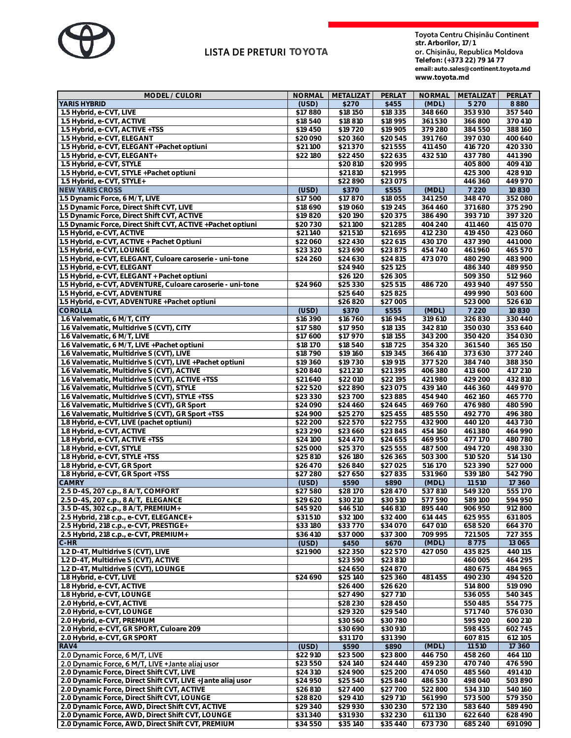

## **LISTÀ DE PRETURI TOYOTA**

**str. Arborilor, 17/1 Telefon: (+373 22) 79 14 77**

**email: auto.sales@continent.toyota.md 24.02.2022 19,50 MDL [www.toyota.md](http://www.toyota.md/)**

| MODEL / CULORI                                               | <b>NORMAL</b> | METALIZAT | PERLAT   | <b>NORMAL</b> | METALIZAT          | PERLAT  |
|--------------------------------------------------------------|---------------|-----------|----------|---------------|--------------------|---------|
| YARIS HYBRID                                                 | (USD)         | \$270     | \$455    | (MDL)         | 5 2 7 0            | 8880    |
| 1.5 Hybrid, e-CVT, LIVE                                      | \$17880       | \$18 150  | \$18 335 | 348 660       | 353 930            | 357540  |
| 1.5 Hybrid, e-CVT, ACTIVE                                    | \$18540       | \$18 810  | \$18995  | 361530        | 366 800            | 370410  |
| 1.5 Hybrid, e-CVT, ACTIVE +TSS                               | \$19 450      | \$19720   | \$19 905 | 379 280       | 384 550            | 388 160 |
| 1.5 Hybrid, e-CVT, ELEGANT                                   | \$20 090      | \$20 360  | \$20545  | 391760        | 397 030            | 400 640 |
| 1.5 Hybrid, e-CVT, ELEGANT +Pachet optiuni                   | \$21100       | \$21370   | \$21555  | 411 450       | 416720             | 420 330 |
| 1.5 Hybrid, e-CVT, ELEGANT+                                  | \$22 180      | \$22 450  | \$22635  | 432 510       | 437 780            | 441390  |
| 1.5 Hybrid, e-CVT, STYLE                                     |               | \$20 810  | \$20 995 |               | 405 800            | 409 410 |
| 1.5 Hybrid, e-CVT, STYLE +Pachet optiuni                     |               | \$21810   | \$21995  |               | 425 300            | 428 910 |
| 1.5 Hybrid, e-CVT, STYLE+                                    |               | \$22890   | \$23075  |               | 446 360            | 449 970 |
| <b>NEW YARIS CROSS</b>                                       | (USD)         | \$370     | \$555    | (MDL)         | 7 2 2 0            | 10830   |
| 1.5 Dynamic Force, 6 M/T, LIVE                               | \$17500       | \$17870   | \$18 055 | 341250        | 348 470            | 352080  |
| 1.5 Dynamic Force, Direct Shift CVT, LIVE                    | \$18 690      | \$19060   | \$19 245 | 364 460       | 371680             | 375 290 |
| 1.5 Dynamic Force, Direct Shift CVT, ACTIVE                  | \$19820       | \$20190   | \$20375  | 386 490       | 393 710            | 397 320 |
| 1.5 Dynamic Force, Direct Shift CVT, ACTIVE +Pachet optiuni  | \$20730       | \$21100   | \$21285  | 404 240       | 411460             | 415070  |
| 1.5 Hybrid, e-CVT, ACTIVE                                    | \$21140       | \$21510   | \$21695  | 412 230       | 419 450            | 423 060 |
| 1.5 Hybrid, e-CVT, ACTIVE + Pachet Optiuni                   | \$22 060      | \$22 430  | \$22 615 | 430170        | 437 390            | 441000  |
| 1.5 Hybrid, e-CVT, LOUNGE                                    | \$23 320      | \$23690   | \$23875  | 454 740       | 461960             | 465 570 |
| 1.5 Hybrid, e-CVT, ELEGANT, Culoare caroserie - uni-tone     | \$24 260      | \$24 630  | \$24 815 | 473070        | 480 290            | 483 900 |
| 1.5 Hybrid, e-CVT, ELEGANT                                   |               | \$24 940  | \$25 125 |               | 486 340            | 489 950 |
|                                                              |               |           |          |               |                    |         |
| 1.5 Hybrid, e-CVT, ELEGANT + Pachet optiuni                  |               | \$26 120  | \$26 305 |               | 509 350<br>493 940 | 512 960 |
| 1.5 Hybrid, e-CVT, ADVENTURE, Culoare caroserie - uni-tone   | \$24 960      | \$25 330  | \$25 515 | 486720        |                    | 497 550 |
| 1.5 Hybrid, e-CVT, ADVENTURE                                 |               | \$25 640  | \$25825  |               | 499 990            | 503 600 |
| 1.5 Hybrid, e-CVT, ADVENTURE +Pachet optiuni                 |               | \$26820   | \$27 005 |               | 523 000            | 526 610 |
| COROLLA                                                      | (USD)         | \$370     | \$555    | (MDL)         | 7 2 2 0            | 10830   |
| 1.6 Valvematic, 6 M/T, CITY                                  | \$16 390      | \$16760   | \$16945  | 319 610       | 326 830            | 330440  |
| 1.6 Valvematic, Multidrive S (CVT), CITY                     | \$17580       | \$17 950  | \$18 135 | 342 810       | 350030             | 353 640 |
| 1.6 Valvematic, 6 M/T, LIVE                                  | \$17 600      | \$17970   | \$18 155 | 343 200       | 350 420            | 354 030 |
| 1.6 Valvematic, 6 M/T, LIVE + Pachet optiuni                 | \$18 170      | \$18540   | \$18725  | 354 320       | 361540             | 365 150 |
| 1.6 Valvematic, Multidrive S (CVT), LIVE                     | \$18790       | \$19 160  | \$19345  | 366 410       | 373 630            | 377 240 |
| 1.6 Valvematic, Multidrive S (CVT), LIVE +Pachet optiuni     | \$19 360      | \$19730   | \$19 915 | 377520        | 384 740            | 388 350 |
| 1.6 Valvematic, Multidrive S (CVT), ACTIVE                   | \$20 840      | \$21 210  | \$21395  | 406 380       | 413 600            | 417 210 |
| 1.6 Valvematic, Multidrive S (CVT), ACTIVE +TSS              | \$21640       | \$22 010  | \$22 195 | 421980        | 429 200            | 432 810 |
| 1.6 Valvematic, Multidrive S (CVT), STYLE                    | \$22520       | \$22890   | \$23075  | 439140        | 446 360            | 449 970 |
| 1.6 Valvematic, Multidrive S (CVT), STYLE +TSS               | \$23 330      | \$23700   | \$23885  | 454 940       | 462160             | 465770  |
| 1.6 Valvematic, Multidrive S (CVT), GR Sport                 | \$24 090      | \$24 460  | \$24 645 | 469760        | 476 980            | 480 590 |
| 1.6 Valvematic, Multidrive S (CVT), GR Sport +TSS            | \$24 900      | \$25 270  | \$25 455 | 485 550       | 492 770            | 496 380 |
| 1.8 Hybrid, e-CVT, LIVE (pachet optiuni)                     | \$22 200      | \$22570   | \$22755  | 432 900       | 440120             | 443730  |
| 1.8 Hybrid, e-CVT, ACTIVE                                    | \$23 290      | \$23 660  | \$23845  | 454 160       | 461380             | 464 990 |
| 1.8 Hybrid, e-CVT, ACTIVE +TSS                               | \$24 100      | \$24 470  | \$24 655 | 469 950       | 477170             | 480780  |
| 1.8 Hybrid, e-CVT, STYLE                                     | \$25 000      | \$25 370  | \$25 555 | 487500        | 494 720            | 498 330 |
| 1.8 Hybrid, e-CVT, STYLE +TSS                                | \$25 810      | \$26 180  | \$26 365 | 503 300       | 510520             | 514 130 |
| 1.8 Hybrid, e-CVT, GR Sport                                  | \$26 470      | \$26 840  | \$27025  | 516170        | 523 390            | 527000  |
| 1.8 Hybrid, e-CVT, GR Sport +TSS                             | \$27 280      | \$27 650  | \$27835  | 531960        | 539180             | 542790  |
| <b>CAMRY</b>                                                 | (USD)         | \$590     | \$890    | (MDL)         | 11510              | 17 360  |
| 2.5 D-4S, 207 c.p., 8 A/T, COMFORT                           | \$27580       | \$28170   | \$28470  | 537810        | 549 320            | 555170  |
| 2.5 D-4S, 207 c.p., 8 A/T, ELEGANCE                          | \$29620       | \$30 210  | \$30 510 | 577590        | 589 100            | 594 950 |
| 3.5 D-4S, 302 c.p., 8 A/T, PREMIUM+                          | \$45 920      | \$46,510  | \$46,810 | 895440        | 906 950            | 912800  |
| 2.5 Hybrid, 218 c.p., e-CVT, ELEGANCE+                       | \$31510       | \$32 100  | \$32 400 | 614 445       | 625 955            | 631805  |
| 2.5 Hybrid, 218 c.p., e-CVT, PRESTIGE+                       | \$33180       | \$33770   | \$34 070 | 647010        | 658 520            | 664 370 |
| 2.5 Hybrid, 218 c.p., e-CVT, PREMIUM+                        | \$36 410      | \$37 000  | \$37 300 | 709 995       | 721505             | 727 355 |
| $C-HR$                                                       | (USD)         | \$450     | \$670    | (MDL)         | 8775               | 13 0 65 |
| 1.2 D-4T, Multidrive S (CVT), LIVE                           | \$21900       | \$22 350  | \$22570  | 427050        | 435 825            | 440 115 |
| 1.2 D-4T, Multidrive S (CVT), ACTIVE                         |               | \$23590   | \$23 810 |               | 460 005            | 464 295 |
| 1.2 D-4T, Multidrive S (CVT), LOUNGE                         |               | \$24 650  | \$24 870 |               | 480 675            | 484 965 |
| 1.8 Hybrid, e-CVT, LIVE                                      | \$24 690      | \$25 140  | \$25 360 | 481455        | 490 230            | 494 520 |
| 1.8 Hybrid, e-CVT, ACTIVE                                    |               | \$26 400  | \$26 620 |               | 514 800            | 519090  |
| 1.8 Hybrid, e-CVT, LOUNGE                                    |               | \$27 490  | \$27710  |               | 536 055            | 540 345 |
| 2.0 Hybrid, e-CVT, ACTIVE                                    |               | \$28 230  | \$28 450 |               | 550 485            | 554 775 |
| 2.0 Hybrid, e-CVT, LOUNGE                                    |               | \$29 320  | \$29540  |               | 571740             | 576030  |
| 2.0 Hybrid, e-CVT, PREMIUM                                   |               | \$30 560  | \$30780  |               | 595 920            | 600 210 |
| 2.0 Hybrid, e-CVT, GR SPORT, Culoare 209                     |               | \$30 690  | \$30 910 |               | 598 455            | 602 745 |
| 2.0 Hybrid, e-CVT, GR SPORT                                  |               | \$31170   | \$31390  |               | 607815             | 612 105 |
| RAV4                                                         | (USD)         | \$590     | \$890    | (MDL)         | 11510              | 17 360  |
| 2.0 Dynamic Force, 6 M/T, LIVE                               | \$22 910      | \$23500   | \$23800  | 446750        | 458 260            | 464 110 |
| 2.0 Dynamic Force, 6 M/T, LIVE + Jante aliaj usor            | \$23550       | \$24 140  | \$24 440 | 459 230       | 470740             | 476590  |
| 2.0 Dynamic Force, Direct Shift CVT, LIVE                    | \$24 310      | \$24 900  | \$25 200 | 474 050       | 485 560            | 491410  |
| 2.0 Dynamic Force, Direct Shift CVT, LIVE + Jante aliaj usor | \$24 950      | \$25 540  | \$25 840 | 486 530       | 498 040            | 503 890 |
|                                                              |               |           |          |               |                    |         |
| 2.0 Dynamic Force, Direct Shift CVT, ACTIVE                  | \$26 810      | \$27 400  | \$27700  | 522 800       | 534 310            | 540160  |
| 2.0 Dynamic Force, Direct Shift CVT, LOUNGE                  | \$28 820      | \$29 410  | \$29710  | 561990        | 573 500            | 579 350 |
| 2.0 Dynamic Force, AWD, Direct Shift CVT, ACTIVE             | \$29 340      | \$29 930  | \$30 230 | 572130        | 583 640            | 589 490 |
| 2.0 Dynamic Force, AWD, Direct Shift CVT, LOUNGE             | \$31340       | \$31930   | \$32 230 | 611 130       | 622 640            | 628 490 |
| 2.0 Dynamic Force, AWD, Direct Shift CVT, PREMIUM            | \$34 550      | \$35 140  | \$35 440 | 673730        | 685 240            | 691090  |